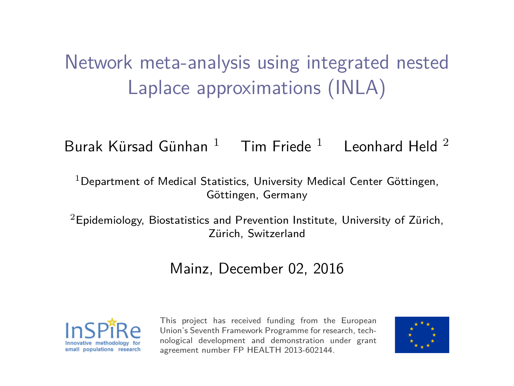# Network meta-analysis using integrated nested Laplace approximations (INLA)

Burak Kürsad Günhan  $1$  Tim Friede  $1$  Leonhard Held  $2$ 

 $1$ Department of Medical Statistics, University Medical Center Göttingen, Göttingen, Germany

<sup>2</sup>Epidemiology, Biostatistics and Prevention Institute, University of Zürich, Zürich, Switzerland

#### Mainz, December 02, 2016



This project has received funding from the European Union's Seventh Framework Programme for research, technological development and demonstration under grant agreement number FP HEALTH 2013-602144.

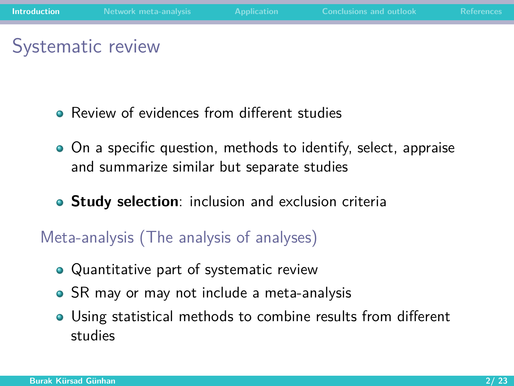# <span id="page-1-0"></span>Systematic review

- **•** Review of evidences from different studies
- On a specific question, methods to identify, select, appraise and summarize similar but separate studies
- **Study selection**: inclusion and exclusion criteria

#### Meta-analysis (The analysis of analyses)

- Quantitative part of systematic review
- SR may or may not include a meta-analysis
- Using statistical methods to combine results from different studies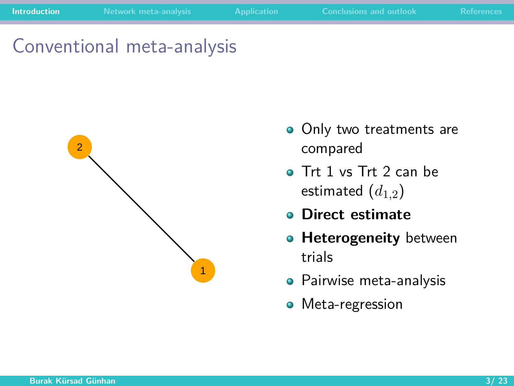Conventional meta-analysis



- Only two treatments are compared
- **o** Trt 1 vs Trt 2 can be estimated  $(d_{1,2})$
- **Direct estimate**
- **Heterogeneity** between trials
- **•** Pairwise meta-analysis
- **•** Meta-regression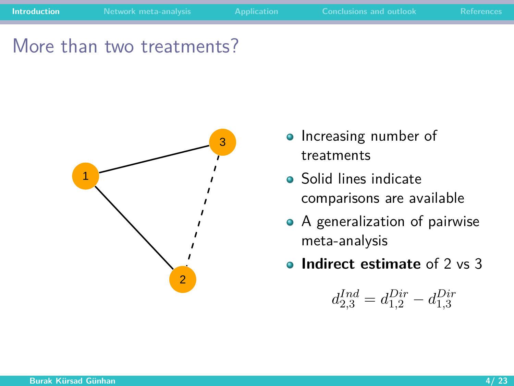More than two treatments?



- Increasing number of treatments
- Solid lines indicate comparisons are available
- A generalization of pairwise meta-analysis
- **Indirect estimate** of 2 vs 3

$$
d_{2,3}^{Ind} = d_{1,2}^{Dir} - d_{1,3}^{Dir}
$$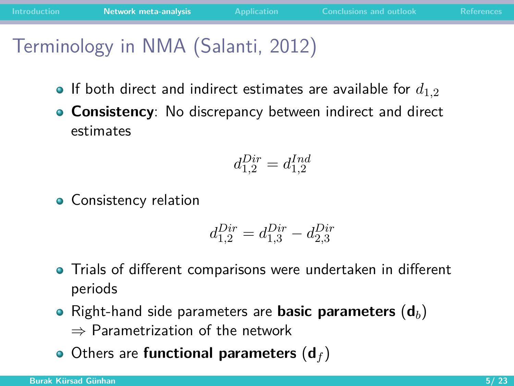# <span id="page-4-0"></span>Terminology in NMA (Salanti, 2012)

- $\bullet$  If both direct and indirect estimates are available for  $d_{1,2}$
- **Consistency**: No discrepancy between indirect and direct estimates

$$
d_{1,2}^{Dir} = d_{1,2}^{Ind}
$$

• Consistency relation

$$
d_{1,2}^{Dir} = d_{1,3}^{Dir} - d_{2,3}^{Dir}
$$

- Trials of different comparisons were undertaken in different periods
- Right-hand side parameters are **basic parameters** (**d***b*) ⇒ Parametrization of the network
- Others are **functional parameters** (**d***<sup>f</sup>* )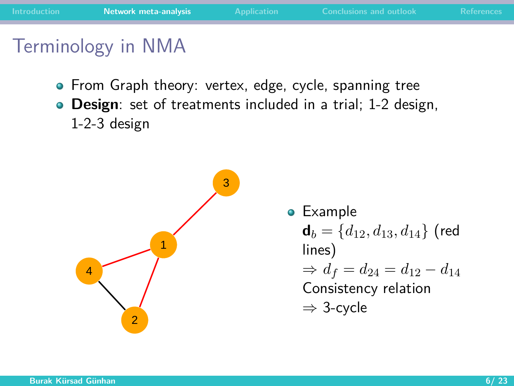## Terminology in NMA

- From Graph theory: vertex, edge, cycle, spanning tree
- **Design**: set of treatments included in a trial; 1-2 design, 1-2-3 design



Example  **(red** lines)  $\Rightarrow d_f = d_{24} = d_{12} - d_{14}$ Consistency relation ⇒ 3-cycle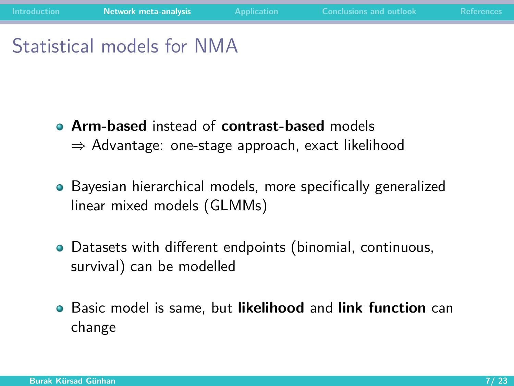# Statistical models for NMA

- **Arm-based** instead of **contrast-based** models  $\Rightarrow$  Advantage: one-stage approach, exact likelihood
- Bayesian hierarchical models, more specifically generalized linear mixed models (GLMMs)
- Datasets with different endpoints (binomial, continuous, survival) can be modelled
- Basic model is same, but **likelihood** and **link function** can  $\bullet$ change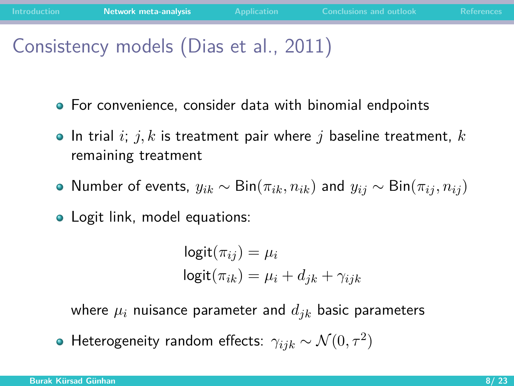# Consistency models (Dias et al., 2011)

- For convenience, consider data with binomial endpoints
- In trial *i*; *j, k* is treatment pair where *j* baseline treatment, *k* remaining treatment
- $\bullet$  Number of events,  $y_{ik}$  ∼ Bin( $\pi_{ik}, n_{ik}$ ) and  $y_{ij}$  ∼ Bin( $\pi_{ij}, n_{ij}$ )
- Logit link, model equations:

$$
logit(\pi_{ij}) = \mu_i
$$
  

$$
logit(\pi_{ik}) = \mu_i + d_{jk} + \gamma_{ijk}
$$

where  $\mu_i$  nuisance parameter and  $d_{ik}$  basic parameters

Heterogeneity random effects:  $\gamma_{ijk} \sim \mathcal{N}(0, \tau^2)$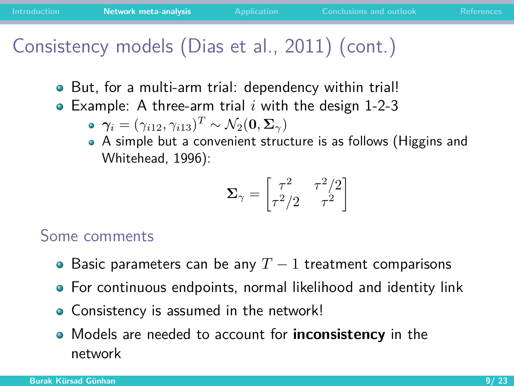## Consistency models (Dias et al., 2011) (cont.)

- But, for a multi-arm trial: dependency within trial!
- Example: A three-arm trial *i* with the design 1-2-3  $\bullet$ 
	- $\boldsymbol{\gamma}_i = (\gamma_{i12}, \gamma_{i13})^T \sim \mathcal{N}_2(\mathbf{0}, \boldsymbol{\Sigma}_{\gamma})$
	- A simple but a convenient structure is as follows (Higgins and Whitehead, 1996):

$$
\pmb{\Sigma}_\gamma = \begin{bmatrix} \tau^2 & \tau^2/2 \\ \tau^2/2 & \tau^2 \end{bmatrix}
$$

#### Some comments

- Basic parameters can be any *T* − 1 treatment comparisons
- For continuous endpoints, normal likelihood and identity link
- Consistency is assumed in the network!
- Models are needed to account for **inconsistency** in the network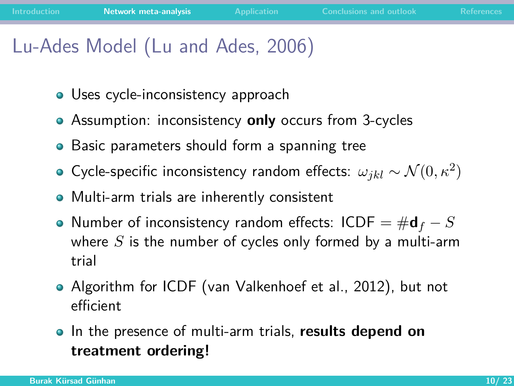# Lu-Ades Model (Lu and Ades, 2006)

- **•** Uses cycle-inconsistency approach
- Assumption: inconsistency **only** occurs from 3-cycles
- Basic parameters should form a spanning tree
- Cycle-specific inconsistency random effects:  $\omega_{jkl} \sim \mathcal{N}(0, \kappa^2)$
- Multi-arm trials are inherently consistent
- Number of inconsistency random effects: ICDF = #**d***<sup>f</sup>* − *S* where *S* is the number of cycles only formed by a multi-arm trial
- Algorithm for ICDF (van Valkenhoef et al., 2012), but not efficient
- In the presence of multi-arm trials, **results depend on treatment ordering!**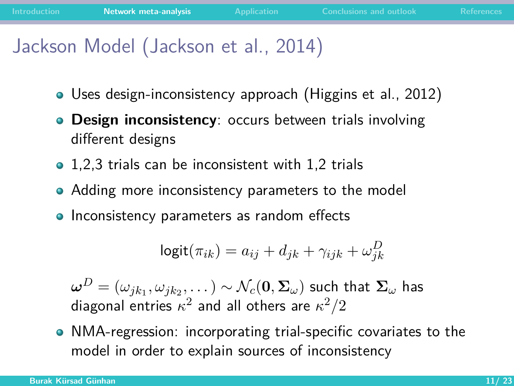# Jackson Model (Jackson et al., 2014)

- Uses design-inconsistency approach (Higgins et al., 2012)
- **Design inconsistency:** occurs between trials involving  $\bullet$ different designs
- 1,2,3 trials can be inconsistent with 1,2 trials
- Adding more inconsistency parameters to the model
- Inconsistency parameters as random effects

$$
logit(\pi_{ik}) = a_{ij} + d_{jk} + \gamma_{ijk} + \omega_{jk}^D
$$

 $\bm{\omega}^D = (\omega_{jk_1}, \omega_{jk_2}, \dots) \sim \mathcal{N}_c(\mathbf{0}, \bm{\Sigma}_{\omega})$  such that  $\bm{\Sigma}_{\omega}$  has diagonal entries  $\kappa^2$  and all others are  $\kappa^2/2$ 

NMA-regression: incorporating trial-specific covariates to the model in order to explain sources of inconsistency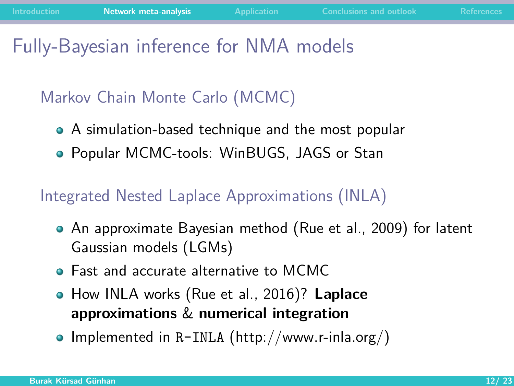#### Fully-Bayesian inference for NMA models

#### Markov Chain Monte Carlo (MCMC)

- A simulation-based technique and the most popular
- Popular MCMC-tools: WinBUGS, JAGS or Stan

#### Integrated Nested Laplace Approximations (INLA)

- An approximate Bayesian method (Rue et al., 2009) for latent Gaussian models (LGMs)
- **•** East and accurate alternative to MCMC
- How INLA works (Rue et al., 2016)? **Laplace approximations** & **numerical integration**
- Implemented in R-INLA [\(http://www.r-inla.org/\)](http://www.r-inla.org/)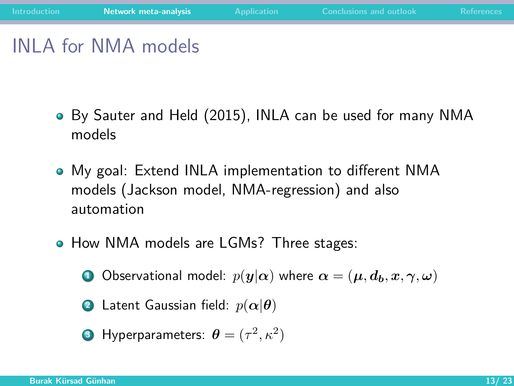# INLA for NMA models

- By Sauter and Held (2015), INLA can be used for many NMA models
- My goal: Extend INLA implementation to different NMA models (Jackson model, NMA-regression) and also automation
- How NMA models are LGMs? Three stages:

**1** Observational model:  $p(\mathbf{y}|\alpha)$  where  $\alpha = (\mu, d_h, x, \gamma, \omega)$ 

**2** Latent Gaussian field: 
$$
p(\alpha|\theta)
$$

• Hyperparameters: 
$$
\boldsymbol{\theta} = (\tau^2, \kappa^2)
$$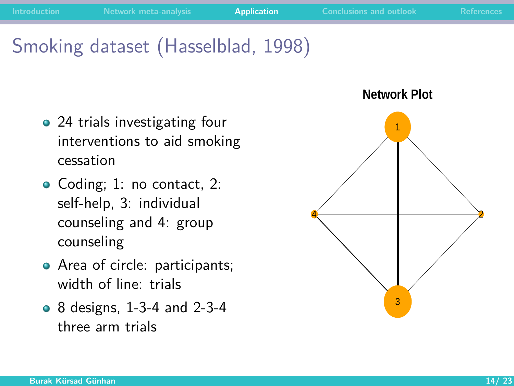## <span id="page-13-0"></span>Smoking dataset (Hasselblad, 1998)

- 24 trials investigating four interventions to aid smoking cessation
- Coding; 1: no contact, 2: self-help, 3: individual counseling and 4: group counseling
- Area of circle: participants; width of line: trials
- 8 designs, 1-3-4 and 2-3-4 three arm trials

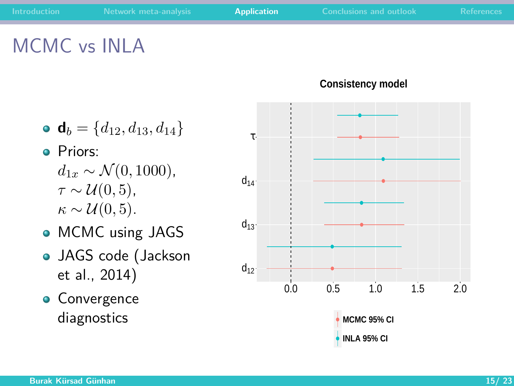# MCMC vs INLA

- $\bullet$  **d**<sub>*b*</sub> = { $d_{12}, d_{13}, d_{14}$ }
- **o** Priors:
	- $d_{1x} \sim \mathcal{N}(0, 1000)$ ,  $\tau \sim \mathcal{U}(0, 5)$ ,  $\kappa \sim \mathcal{U}(0, 5)$ .
- MCMC using JAGS
- JAGS code (Jackson et al., 2014)
- **Convergence** diagnostics



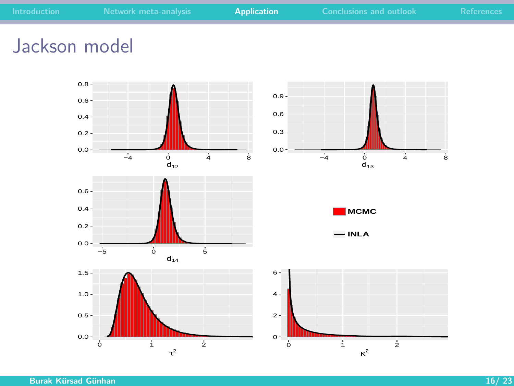### Jackson model

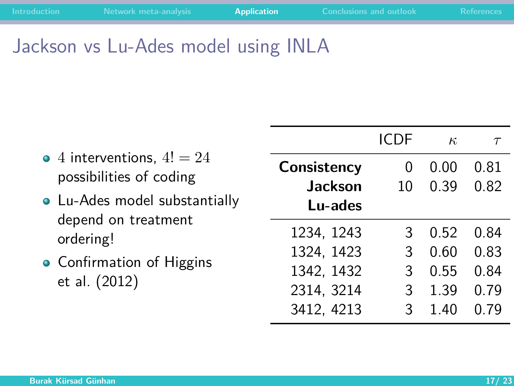# Jackson vs Lu-Ades model using INLA

|  |                                                                                                                                                                            |                | ICDE     | $\kappa$ | $\tau$ |
|--|----------------------------------------------------------------------------------------------------------------------------------------------------------------------------|----------------|----------|----------|--------|
|  | • 4 interventions, $4! = 24$<br>possibilities of coding<br>• Lu-Ades model substantially<br>depend on treatment<br>ordering!<br>• Confirmation of Higgins<br>et al. (2012) | Consistency    | $\Omega$ | 0.00     | 0.81   |
|  |                                                                                                                                                                            | <b>Jackson</b> | 10       | 0.39     | 0.82   |
|  |                                                                                                                                                                            | Lu-ades        |          |          |        |
|  |                                                                                                                                                                            | 1234, 1243     | 3        | 0.52     | 0.84   |
|  |                                                                                                                                                                            | 1324, 1423     | 3        | 0.60     | 0.83   |
|  |                                                                                                                                                                            | 1342, 1432     | 3        | 0.55     | 0.84   |
|  |                                                                                                                                                                            | 2314, 3214     | 3        | 1.39     | 0.79   |
|  |                                                                                                                                                                            | 3412, 4213     | 3        | 140      | በ 79   |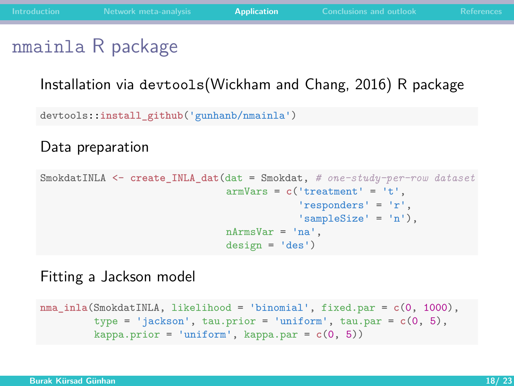#### nmainla R package

#### Installation via devtools(Wickham and Chang, 2016) R package

devtools::**install\_github**('gunhanb/nmainla')

Data preparation

```
SmokdatINLA <- create_INLA_dat(dat = Smokdat, # one-study-per-row dataset
                       armVars = c('treatment' = 't',
                                    'responders' = 'r',
                                    'sampleSize' = 'n'),
                       nArmsVar = 'na',
                       design = 'des')
```
Fitting a Jackson model

```
nma_inla(SmokdatINLA, likelihood = 'binomial', fixed.par = c(0, 1000),
 type = 'jackson', tau.prior = 'uniform', tau.par = c(0, 5),
kappa.prior = 'uniform', kappa.par = c(0, 5))
```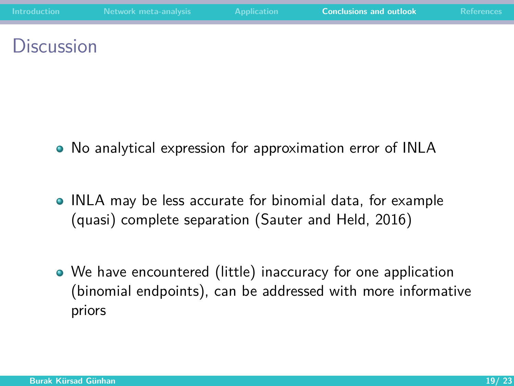#### <span id="page-18-0"></span>**Discussion**

- No analytical expression for approximation error of INLA
- INLA may be less accurate for binomial data, for example (quasi) complete separation (Sauter and Held, 2016)
- We have encountered (little) inaccuracy for one application (binomial endpoints), can be addressed with more informative priors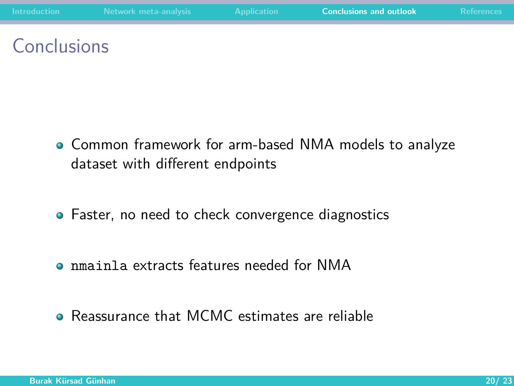### **Conclusions**

- Common framework for arm-based NMA models to analyze dataset with different endpoints
- Faster, no need to check convergence diagnostics
- nmainla extracts features needed for NMA
- Reassurance that MCMC estimates are reliable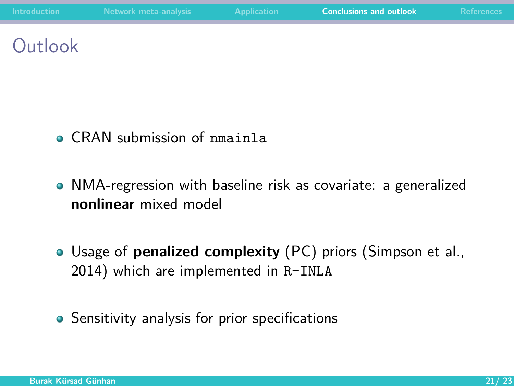## **Outlook**

- **CRAN** submission of nmainla
- NMA-regression with baseline risk as covariate: a generalized **nonlinear** mixed model
- Usage of **penalized complexity** (PC) priors (Simpson et al., 2014) which are implemented in R-INLA
- Sensitivity analysis for prior specifications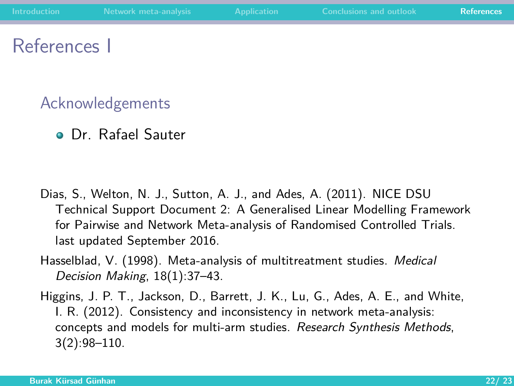#### <span id="page-21-0"></span>References I

#### Acknowledgements

Dr. Rafael Sauter

- Dias, S., Welton, N. J., Sutton, A. J., and Ades, A. (2011). NICE DSU Technical Support Document 2: A Generalised Linear Modelling Framework for Pairwise and Network Meta-analysis of Randomised Controlled Trials. last updated September 2016.
- Hasselblad, V. (1998). Meta-analysis of multitreatment studies. Medical Decision Making, 18(1):37–43.
- Higgins, J. P. T., Jackson, D., Barrett, J. K., Lu, G., Ades, A. E., and White, I. R. (2012). Consistency and inconsistency in network meta-analysis: concepts and models for multi-arm studies. Research Synthesis Methods, 3(2):98–110.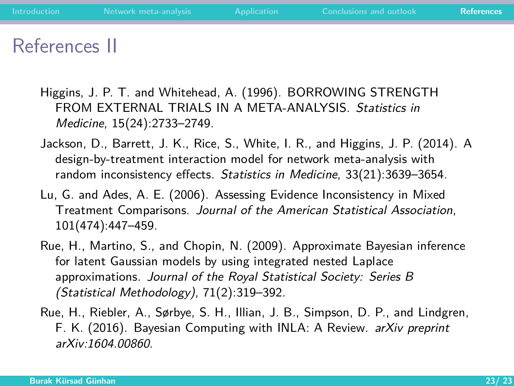#### References II

- Higgins, J. P. T. and Whitehead, A. (1996). BORROWING STRENGTH FROM EXTERNAL TRIALS IN A META-ANALYSIS. Statistics in Medicine, 15(24):2733–2749.
- Jackson, D., Barrett, J. K., Rice, S., White, I. R., and Higgins, J. P. (2014). A design-by-treatment interaction model for network meta-analysis with random inconsistency effects. Statistics in Medicine, 33(21):3639–3654.
- Lu, G. and Ades, A. E. (2006). Assessing Evidence Inconsistency in Mixed Treatment Comparisons. Journal of the American Statistical Association, 101(474):447–459.
- Rue, H., Martino, S., and Chopin, N. (2009). Approximate Bayesian inference for latent Gaussian models by using integrated nested Laplace approximations. Journal of the Royal Statistical Society: Series B (Statistical Methodology), 71(2):319–392.
- Rue, H., Riebler, A., Sørbye, S. H., Illian, J. B., Simpson, D. P., and Lindgren, F. K. (2016). Bayesian Computing with INLA: A Review. arXiv preprint arXiv:1604.00860.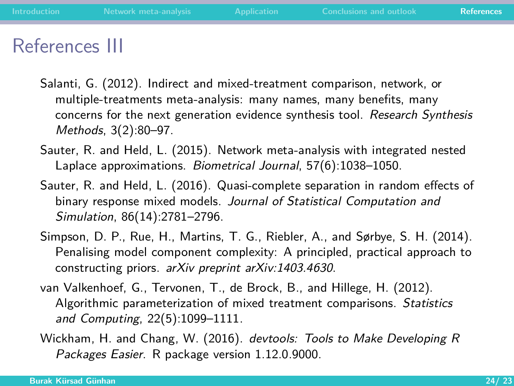#### References III

- Salanti, G. (2012). Indirect and mixed-treatment comparison, network, or multiple-treatments meta-analysis: many names, many benefits, many concerns for the next generation evidence synthesis tool. Research Synthesis Methods, 3(2):80–97.
- Sauter, R. and Held, L. (2015). Network meta-analysis with integrated nested Laplace approximations. Biometrical Journal, 57(6):1038–1050.
- Sauter, R. and Held, L. (2016). Quasi-complete separation in random effects of binary response mixed models. Journal of Statistical Computation and Simulation, 86(14):2781–2796.
- Simpson, D. P., Rue, H., Martins, T. G., Riebler, A., and Sørbye, S. H. (2014). Penalising model component complexity: A principled, practical approach to constructing priors. arXiv preprint arXiv:1403.4630.
- van Valkenhoef, G., Tervonen, T., de Brock, B., and Hillege, H. (2012). Algorithmic parameterization of mixed treatment comparisons. Statistics and Computing, 22(5):1099–1111.
- Wickham, H. and Chang, W. (2016). devtools: Tools to Make Developing R Packages Easier. R package version 1.12.0.9000.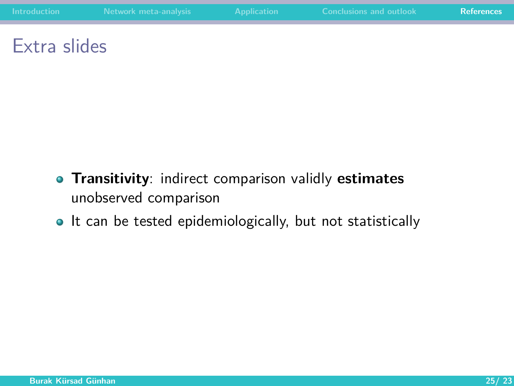#### Extra slides

- **Transitivity**: indirect comparison validly **estimates** unobserved comparison
- It can be tested epidemiologically, but not statistically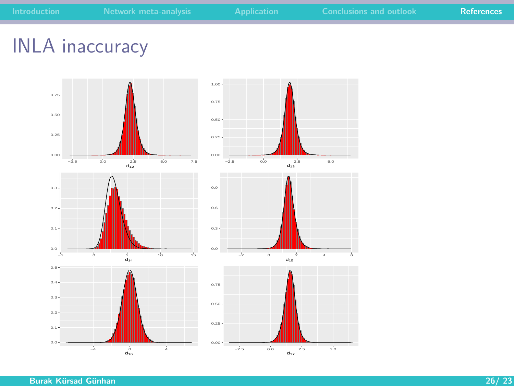## INLA inaccuracy



**Burak Kürsad Günhan 26/ 23**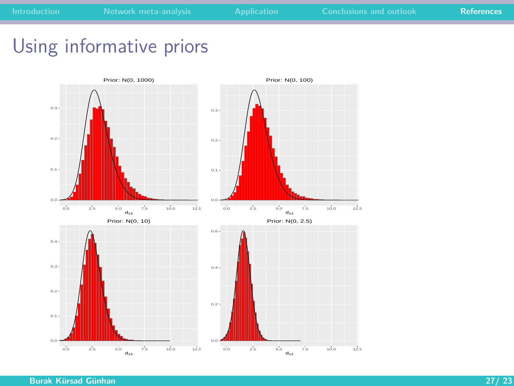# Using informative priors

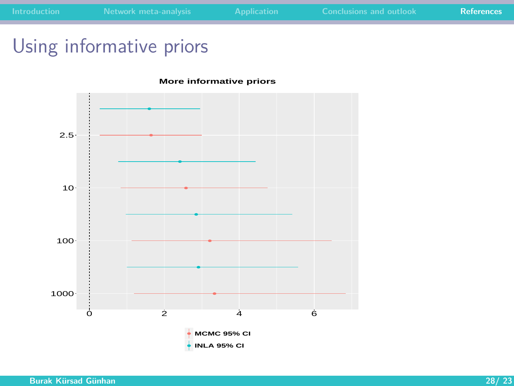# Using informative priors



 $\frac{1}{2}$  4 6

**MCMC 95% CI INLA 95% CI**

1000